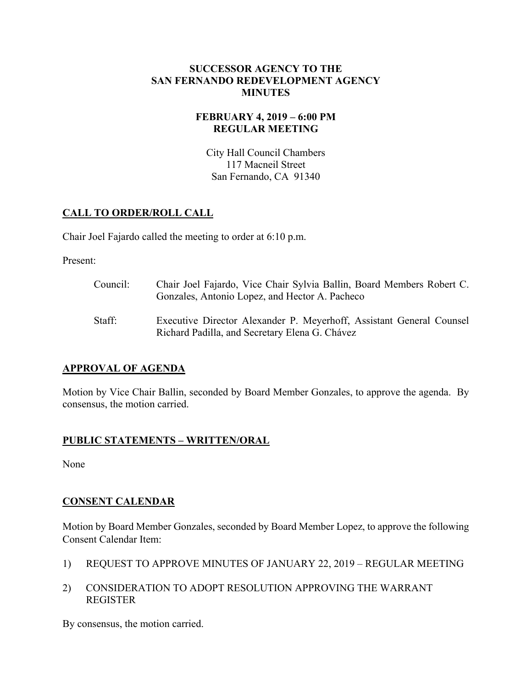#### **SUCCESSOR AGENCY TO THE SAN FERNANDO REDEVELOPMENT AGENCY MINUTES**

### **FEBRUARY 4, 2019 – 6:00 PM REGULAR MEETING**

City Hall Council Chambers 117 Macneil Street San Fernando, CA 91340

# **CALL TO ORDER/ROLL CALL**

Chair Joel Fajardo called the meeting to order at 6:10 p.m.

Present:

| Council: | Chair Joel Fajardo, Vice Chair Sylvia Ballin, Board Members Robert C.<br>Gonzales, Antonio Lopez, and Hector A. Pacheco |
|----------|-------------------------------------------------------------------------------------------------------------------------|
| Staff:   | Executive Director Alexander P. Meyerhoff, Assistant General Counsel<br>Richard Padilla, and Secretary Elena G. Chávez  |

### **APPROVAL OF AGENDA**

Motion by Vice Chair Ballin, seconded by Board Member Gonzales, to approve the agenda. By consensus, the motion carried.

# **PUBLIC STATEMENTS – WRITTEN/ORAL**

None

### **CONSENT CALENDAR**

Motion by Board Member Gonzales, seconded by Board Member Lopez, to approve the following Consent Calendar Item:

- 1) REQUEST TO APPROVE MINUTES OF JANUARY 22, 2019 REGULAR MEETING
- 2) CONSIDERATION TO ADOPT RESOLUTION APPROVING THE WARRANT REGISTER

By consensus, the motion carried.